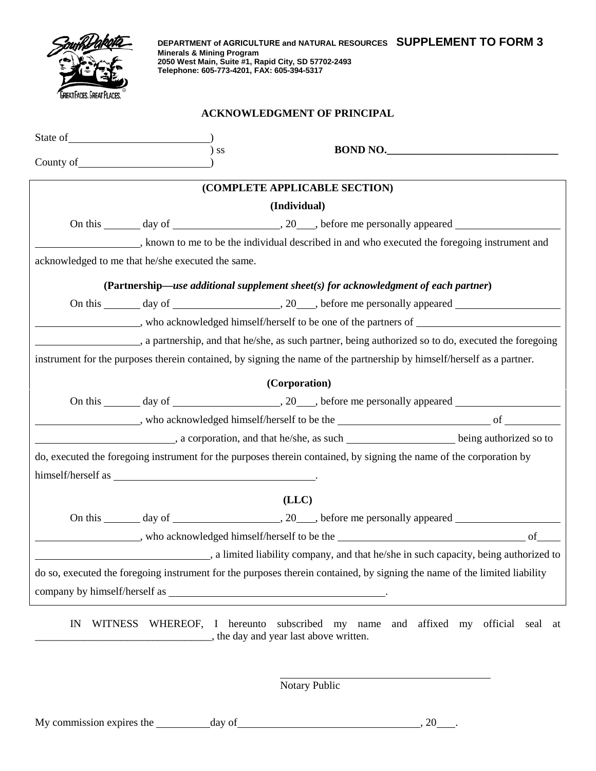| M                        |
|--------------------------|
|                          |
|                          |
| eat Faces. Great Places. |

**DEPARTMENT of AGRICULTURE and NATURAL RESOURCES SUPPLEMENT TO FORM 3 Minerals & Mining Program 2050 West Main, Suite #1, Rapid City, SD 57702-2493 Telephone: 605-773-4201, FAX: 605-394-5317**

## **ACKNOWLEDGMENT OF PRINCIPAL**

| $)$ ss<br>BOND NO.                                                                                                        |  |  |  |  |
|---------------------------------------------------------------------------------------------------------------------------|--|--|--|--|
| (COMPLETE APPLICABLE SECTION)                                                                                             |  |  |  |  |
| (Individual)                                                                                                              |  |  |  |  |
|                                                                                                                           |  |  |  |  |
| , known to me to be the individual described in and who executed the foregoing instrument and                             |  |  |  |  |
| acknowledged to me that he/she executed the same.                                                                         |  |  |  |  |
| (Partnership—use additional supplement sheet(s) for acknowledgment of each partner)                                       |  |  |  |  |
|                                                                                                                           |  |  |  |  |
|                                                                                                                           |  |  |  |  |
| , a partnership, and that he/she, as such partner, being authorized so to do, executed the foregoing                      |  |  |  |  |
| instrument for the purposes therein contained, by signing the name of the partnership by himself/herself as a partner.    |  |  |  |  |
| (Corporation)                                                                                                             |  |  |  |  |
|                                                                                                                           |  |  |  |  |
|                                                                                                                           |  |  |  |  |
| a corporation, and that he/she, as such _________________________ being authorized so to                                  |  |  |  |  |
| do, executed the foregoing instrument for the purposes therein contained, by signing the name of the corporation by       |  |  |  |  |
|                                                                                                                           |  |  |  |  |
| (LLC)                                                                                                                     |  |  |  |  |
|                                                                                                                           |  |  |  |  |
|                                                                                                                           |  |  |  |  |
| a limited liability company, and that he/she in such capacity, being authorized to                                        |  |  |  |  |
| do so, executed the foregoing instrument for the purposes therein contained, by signing the name of the limited liability |  |  |  |  |
|                                                                                                                           |  |  |  |  |
|                                                                                                                           |  |  |  |  |

IN WITNESS WHEREOF, I hereunto subscribed my name and affixed my official seal at **EXECUTE:** the day and year last above written.

Notary Public